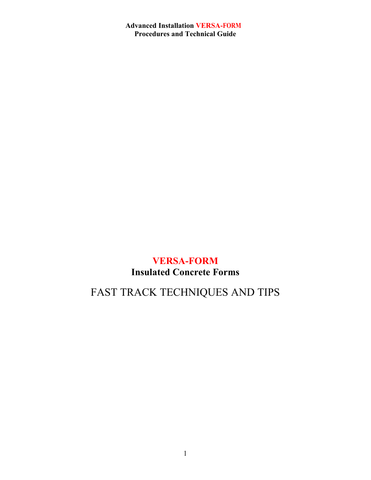## **VERSA-FORM Insulated Concrete Forms**

# FAST TRACK TECHNIQUES AND TIPS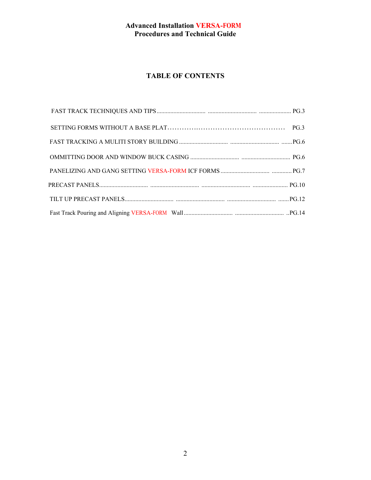## **TABLE OF CONTENTS**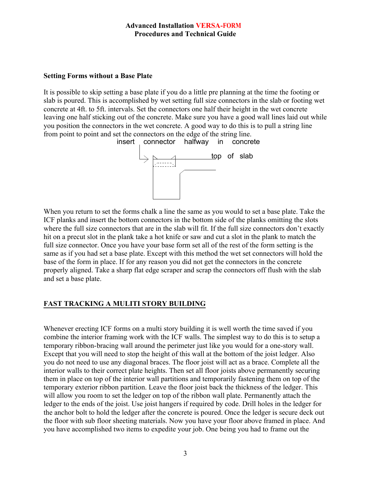#### **Setting Forms without a Base Plate**

It is possible to skip setting a base plate if you do a little pre planning at the time the footing or slab is poured. This is accomplished by wet setting full size connectors in the slab or footing wet concrete at 4ft. to 5ft. intervals. Set the connectors one half their height in the wet concrete leaving one half sticking out of the concrete. Make sure you have a good wall lines laid out while you position the connectors in the wet concrete. A good way to do this is to pull a string line from point to point and set the connectors on the edge of the string line.



When you return to set the forms chalk a line the same as you would to set a base plate. Take the ICF planks and insert the bottom connectors in the bottom side of the planks omitting the slots where the full size connectors that are in the slab will fit. If the full size connectors don't exactly hit on a precut slot in the plank take a hot knife or saw and cut a slot in the plank to match the full size connector. Once you have your base form set all of the rest of the form setting is the same as if you had set a base plate. Except with this method the wet set connectors will hold the base of the form in place. If for any reason you did not get the connectors in the concrete properly aligned. Take a sharp flat edge scraper and scrap the connectors off flush with the slab and set a base plate.

## **FAST TRACKING A MULITI STORY BUILDING**

Whenever erecting ICF forms on a multi story building it is well worth the time saved if you combine the interior framing work with the ICF walls. The simplest way to do this is to setup a temporary ribbon-bracing wall around the perimeter just like you would for a one-story wall. Except that you will need to stop the height of this wall at the bottom of the joist ledger. Also you do not need to use any diagonal braces. The floor joist will act as a brace. Complete all the interior walls to their correct plate heights. Then set all floor joists above permanently securing them in place on top of the interior wall partitions and temporarily fastening them on top of the temporary exterior ribbon partition. Leave the floor joist back the thickness of the ledger. This will allow you room to set the ledger on top of the ribbon wall plate. Permanently attach the ledger to the ends of the joist. Use joist hangers if required by code. Drill holes in the ledger for the anchor bolt to hold the ledger after the concrete is poured. Once the ledger is secure deck out the floor with sub floor sheeting materials. Now you have your floor above framed in place. And you have accomplished two items to expedite your job. One being you had to frame out the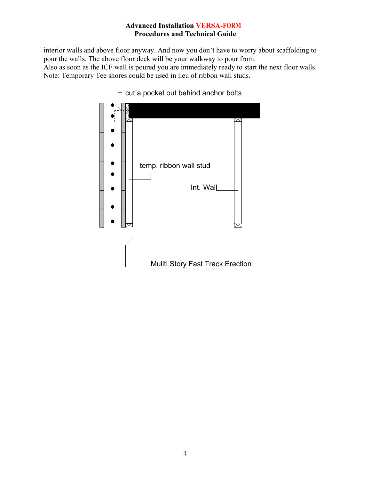interior walls and above floor anyway. And now you don't have to worry about scaffolding to pour the walls. The above floor deck will be your walkway to pour from. Also as soon as the ICF wall is poured you are immediately ready to start the next floor walls. Note: Temporary Tee shores could be used in lieu of ribbon wall studs.

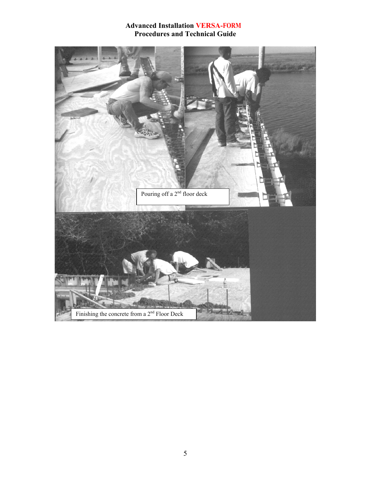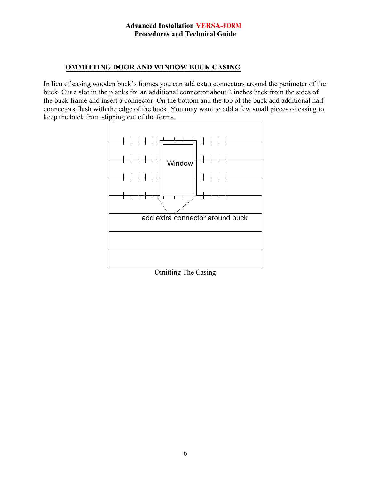#### **OMMITTING DOOR AND WINDOW BUCK CASING**

In lieu of casing wooden buck's frames you can add extra connectors around the perimeter of the buck. Cut a slot in the planks for an additional connector about 2 inches back from the sides of the buck frame and insert a connector. On the bottom and the top of the buck add additional half connectors flush with the edge of the buck. You may want to add a few small pieces of casing to keep the buck from slipping out of the forms.



Omitting The Casing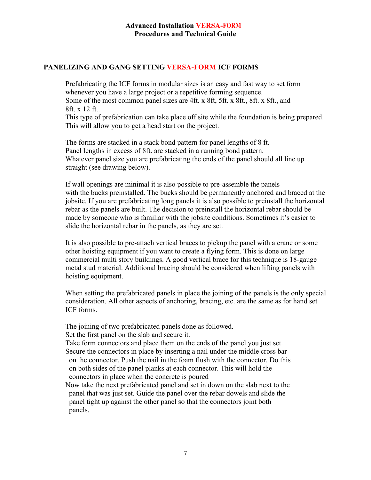#### **PANELIZING AND GANG SETTING VERSA-FORM ICF FORMS**

Prefabricating the ICF forms in modular sizes is an easy and fast way to set form whenever you have a large project or a repetitive forming sequence. Some of the most common panel sizes are 4ft. x 8ft, 5ft. x 8ft., 8ft. x 8ft., and 8ft. x 12 ft..

This type of prefabrication can take place off site while the foundation is being prepared. This will allow you to get a head start on the project.

The forms are stacked in a stack bond pattern for panel lengths of 8 ft. Panel lengths in excess of 8ft. are stacked in a running bond pattern. Whatever panel size you are prefabricating the ends of the panel should all line up straight (see drawing below).

If wall openings are minimal it is also possible to pre-assemble the panels with the bucks preinstalled. The bucks should be permanently anchored and braced at the jobsite. If you are prefabricating long panels it is also possible to preinstall the horizontal rebar as the panels are built. The decision to preinstall the horizontal rebar should be made by someone who is familiar with the jobsite conditions. Sometimes it's easier to slide the horizontal rebar in the panels, as they are set.

It is also possible to pre-attach vertical braces to pickup the panel with a crane or some other hoisting equipment if you want to create a flying form. This is done on large commercial multi story buildings. A good vertical brace for this technique is 18-gauge metal stud material. Additional bracing should be considered when lifting panels with hoisting equipment.

When setting the prefabricated panels in place the joining of the panels is the only special consideration. All other aspects of anchoring, bracing, etc. are the same as for hand set ICF forms.

The joining of two prefabricated panels done as followed.

Set the first panel on the slab and secure it.

Take form connectors and place them on the ends of the panel you just set. Secure the connectors in place by inserting a nail under the middle cross bar on the connector. Push the nail in the foam flush with the connector. Do this on both sides of the panel planks at each connector. This will hold the connectors in place when the concrete is poured

Now take the next prefabricated panel and set in down on the slab next to the panel that was just set. Guide the panel over the rebar dowels and slide the panel tight up against the other panel so that the connectors joint both panels.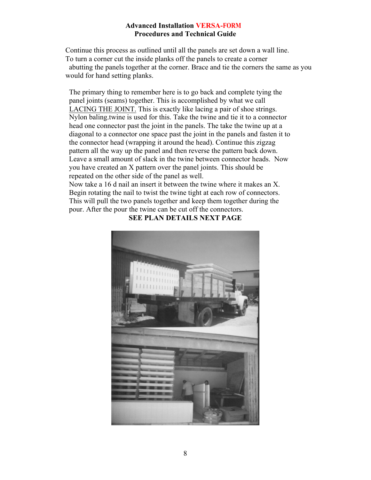Continue this process as outlined until all the panels are set down a wall line. To turn a corner cut the inside planks off the panels to create a corner abutting the panels together at the corner. Brace and tie the corners the same as you would for hand setting planks.

 The primary thing to remember here is to go back and complete tying the panel joints (seams) together. This is accomplished by what we call LACING THE JOINT. This is exactly like lacing a pair of shoe strings. Nylon baling.twine is used for this. Take the twine and tie it to a connector head one connector past the joint in the panels. The take the twine up at a diagonal to a connector one space past the joint in the panels and fasten it to the connector head (wrapping it around the head). Continue this zigzag pattern all the way up the panel and then reverse the pattern back down. Leave a small amount of slack in the twine between connector heads. Now you have created an X pattern over the panel joints. This should be repeated on the other side of the panel as well.

Now take a 16 d nail an insert it between the twine where it makes an X. Begin rotating the nail to twist the twine tight at each row of connectors. This will pull the two panels together and keep them together during the pour. After the pour the twine can be cut off the connectors.



**SEE PLAN DETAILS NEXT PAGE**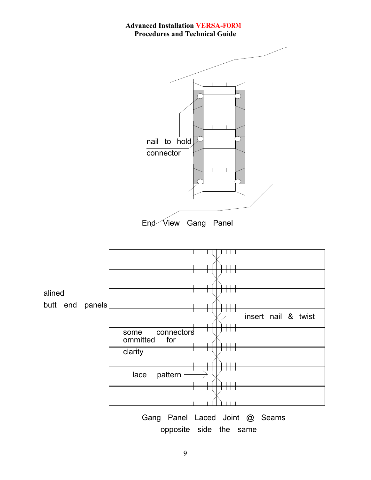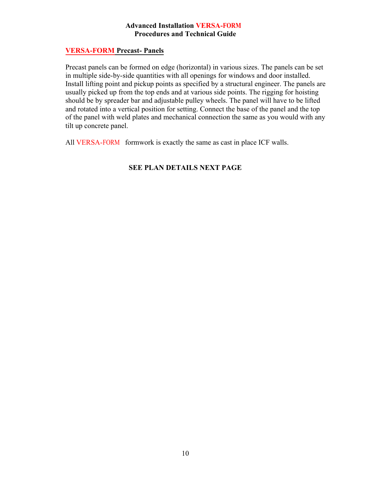#### **VERSA-FORM Precast- Panels**

Precast panels can be formed on edge (horizontal) in various sizes. The panels can be set in multiple side-by-side quantities with all openings for windows and door installed. Install lifting point and pickup points as specified by a structural engineer. The panels are usually picked up from the top ends and at various side points. The rigging for hoisting should be by spreader bar and adjustable pulley wheels. The panel will have to be lifted and rotated into a vertical position for setting. Connect the base of the panel and the top of the panel with weld plates and mechanical connection the same as you would with any tilt up concrete panel.

All VERSA-FORM formwork is exactly the same as cast in place ICF walls.

#### **SEE PLAN DETAILS NEXT PAGE**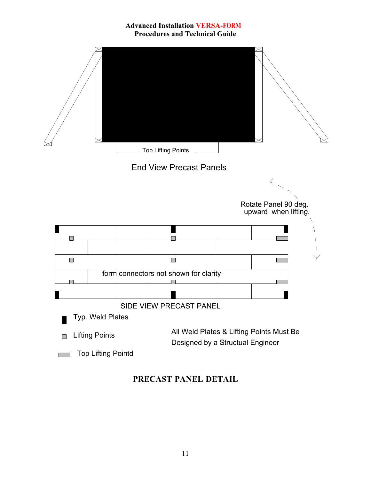

## **PRECAST PANEL DETAIL**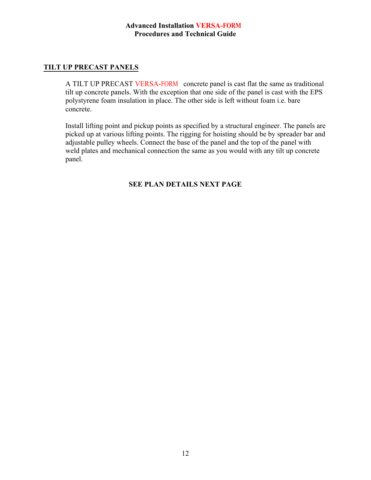## **TILT UP PRECAST PANELS**

A TILT UP PRECAST VERSA-FORM concrete panel is cast flat the same as traditional tilt up concrete panels. With the exception that one side of the panel is cast with the EPS polystyrene foam insulation in place. The other side is left without foam i.e. bare concrete.

Install lifting point and pickup points as specified by a structural engineer. The panels are picked up at various lifting points. The rigging for hoisting should be by spreader bar and adjustable pulley wheels. Connect the base of the panel and the top of the panel with weld plates and mechanical connection the same as you would with any tilt up concrete panel.

#### **SEE PLAN DETAILS NEXT PAGE**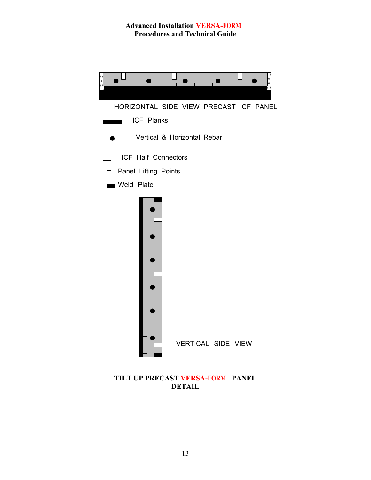

**TILT UP PRECAST VERSA-FORM PANEL DETAIL**